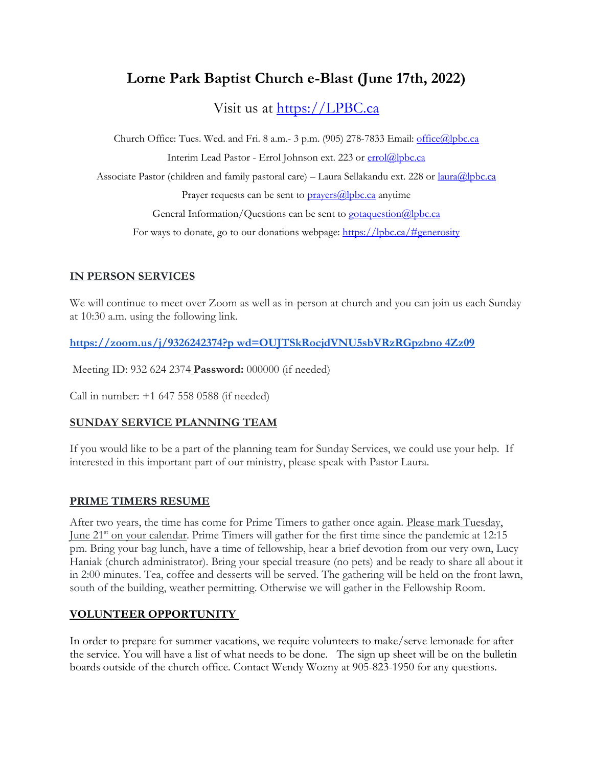# **Lorne Park Baptist Church e-Blast (June 17th, 2022)**

Visit us at [https://LPBC.ca](https://lpbc.ca/)

Church Office: Tues. Wed. and Fri. 8 a.m.- 3 p.m. (905) 278-7833 Email: [office@lpbc.ca](mailto:office@lpbc.ca) Interim Lead Pastor - Errol Johnson ext. 223 or [errol@lpbc.ca](mailto:errol@lpbc.ca) Associate Pastor (children and family pastoral care) – Laura Sellakandu ext. 228 or [laura@lpbc.ca](mailto:laura@lpbc.ca) Prayer requests can be sent to  $pravers@|pbc.ca$  anytime General Information/Questions can be sent to  $\frac{\text{gotaqueston}}{\text{alphc.ca}}$ For ways to donate, go to our donations webpage:<https://lpbc.ca/#generosity>

### **IN PERSON SERVICES**

We will continue to meet over Zoom as well as in-person at church and you can join us each Sunday at 10:30 a.m. using the following link.

**[https://zoom.us/j/9326242374?p wd=OUJTSkRocjdVNU5sbVRzRGpzbno 4Zz09](https://zoom.us/j/9326242374?pwd=OUJTSkRocjdVNU5sbVRzRGpzbno4Zz09)**

Meeting ID: 932 624 2374 **Password:** 000000 (if needed)

Call in number: +1 647 558 0588 (if needed)

#### **SUNDAY SERVICE PLANNING TEAM**

If you would like to be a part of the planning team for Sunday Services, we could use your help. If interested in this important part of our ministry, please speak with Pastor Laura.

#### **PRIME TIMERS RESUME**

After two years, the time has come for Prime Timers to gather once again. Please mark Tuesday, June 21st on your calendar. Prime Timers will gather for the first time since the pandemic at 12:15 pm. Bring your bag lunch, have a time of fellowship, hear a brief devotion from our very own, Lucy Haniak (church administrator). Bring your special treasure (no pets) and be ready to share all about it in 2:00 minutes. Tea, coffee and desserts will be served. The gathering will be held on the front lawn, south of the building, weather permitting. Otherwise we will gather in the Fellowship Room.

#### **VOLUNTEER OPPORTUNITY**

In order to prepare for summer vacations, we require volunteers to make/serve lemonade for after the service. You will have a list of what needs to be done. The sign up sheet will be on the bulletin boards outside of the church office. Contact Wendy Wozny at 905-823-1950 for any questions.